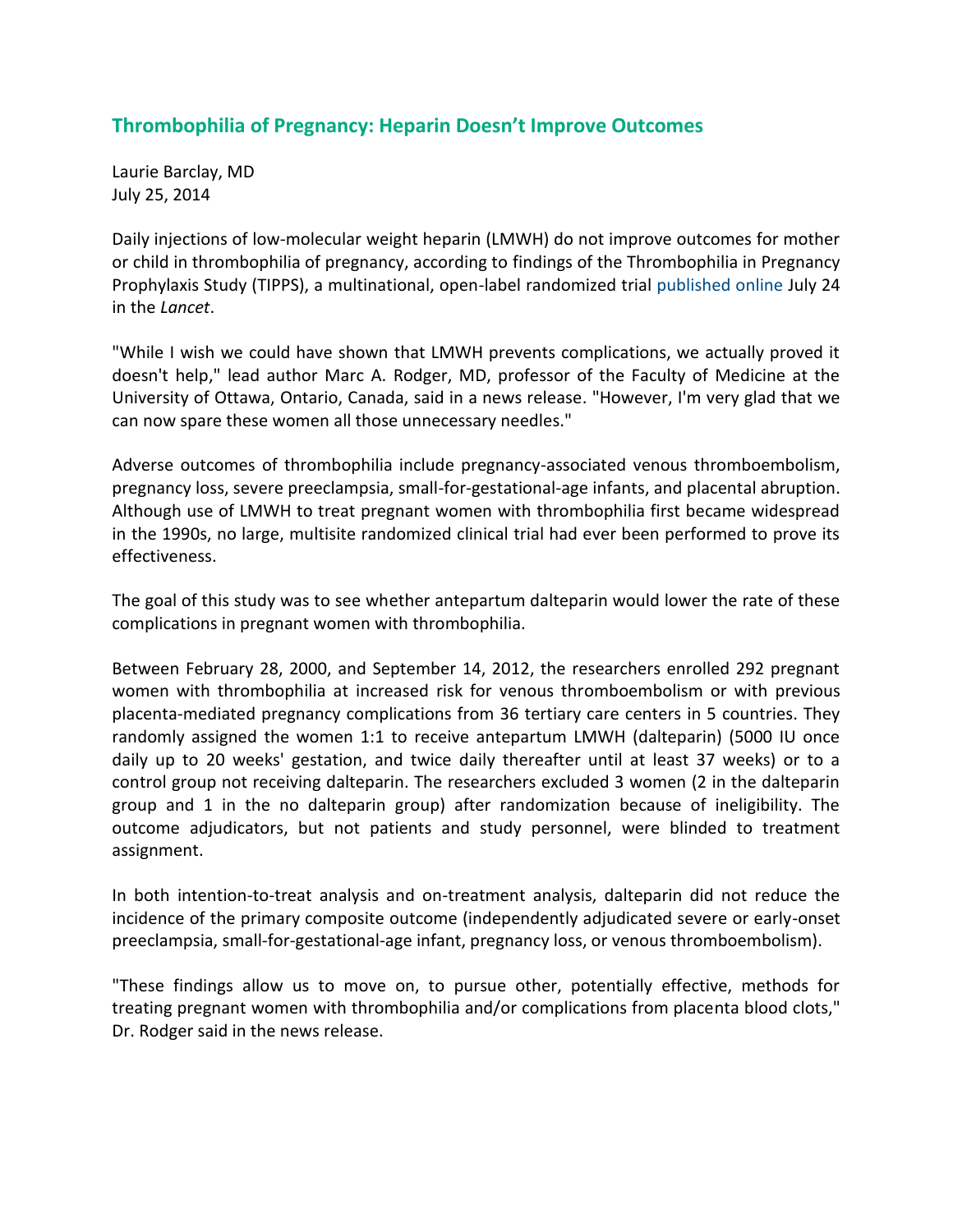## **Thrombophilia of Pregnancy: Heparin Doesn't Improve Outcomes**

Laurie Barclay, MD July 25, 2014

Daily injections of low-molecular weight heparin (LMWH) do not improve outcomes for mother or child in thrombophilia of pregnancy, according to findings of the Thrombophilia in Pregnancy Prophylaxis Study (TIPPS), a multinational, open-label randomized trial [published online](http://www.thelancet.com/journals/lancet/article/PIIS0140-6736%2814%2960793-5/abstract) July 24 in the *Lancet*.

"While I wish we could have shown that LMWH prevents complications, we actually proved it doesn't help," lead author Marc A. Rodger, MD, professor of the Faculty of Medicine at the University of Ottawa, Ontario, Canada, said in a news release. "However, I'm very glad that we can now spare these women all those unnecessary needles."

Adverse outcomes of thrombophilia include pregnancy-associated venous thromboembolism, pregnancy loss, severe preeclampsia, small-for-gestational-age infants, and placental abruption. Although use of LMWH to treat pregnant women with thrombophilia first became widespread in the 1990s, no large, multisite randomized clinical trial had ever been performed to prove its effectiveness.

The goal of this study was to see whether antepartum dalteparin would lower the rate of these complications in pregnant women with thrombophilia.

Between February 28, 2000, and September 14, 2012, the researchers enrolled 292 pregnant women with thrombophilia at increased risk for venous thromboembolism or with previous placenta-mediated pregnancy complications from 36 tertiary care centers in 5 countries. They randomly assigned the women 1:1 to receive antepartum LMWH (dalteparin) (5000 IU once daily up to 20 weeks' gestation, and twice daily thereafter until at least 37 weeks) or to a control group not receiving dalteparin. The researchers excluded 3 women (2 in the dalteparin group and 1 in the no dalteparin group) after randomization because of ineligibility. The outcome adjudicators, but not patients and study personnel, were blinded to treatment assignment.

In both intention-to-treat analysis and on-treatment analysis, dalteparin did not reduce the incidence of the primary composite outcome (independently adjudicated severe or early-onset preeclampsia, small-for-gestational-age infant, pregnancy loss, or venous thromboembolism).

"These findings allow us to move on, to pursue other, potentially effective, methods for treating pregnant women with thrombophilia and/or complications from placenta blood clots," Dr. Rodger said in the news release.